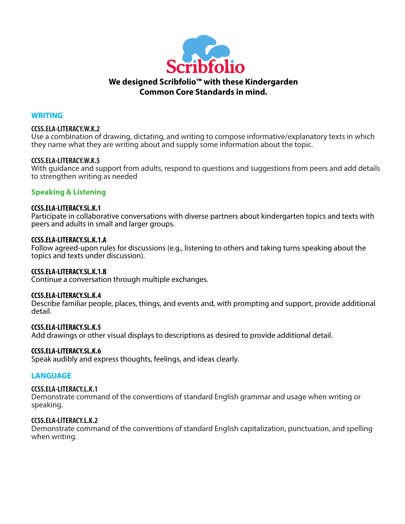

#### **WRITING**

#### **CCSS.ELA-LITERACY.W.K.2**

Use a combination of drawing, dictating, and writing to compose informative/explanatory texts in which they name what they are writing about and supply some information about the topic.

#### **CCSS.ELA-LITERACY.W.K.5**

With guidance and support from adults, respond to questions and suggestions from peers and add details to strengthen writing as needed

## **Speaking & Listening**

#### **CCSS.ELA-LITERACY.SL.K.1**

Participate in collaborative conversations with diverse partners about kindergarten topics and texts with peers and adults in small and larger groups.

#### **CCSS.ELA-LITERACY.SL.K.1.A**

Follow agreed-upon rules for discussions (e.g., listening to others and taking turns speaking about the topics and texts under discussion).

#### **CCSS.ELA-LITERACY.SL.K.1.B**

Continue a conversation through multiple exchanges.

#### **CCSS.ELA-LITERACY.SL.K.4**

Describe familiar people, places, things, and events and, with prompting and support, provide additional detail.

#### **CCSS.ELA-LITERACY.SL.K.5**

Add drawings or other visual displays to descriptions as desired to provide additional detail.

#### **CCSS.ELA-LITERACY.SL.K.6**

Speak audibly and express thoughts, feelings, and ideas clearly.

#### **LANGUAGE**

#### **CCSS.ELA-LITERACY.L.K.1**

Demonstrate command of the conventions of standard English grammar and usage when writing or speaking.

#### **CCSS.ELA-LITERACY.L.K.2**

Demonstrate command of the conventions of standard English capitalization, punctuation, and spelling when writing.